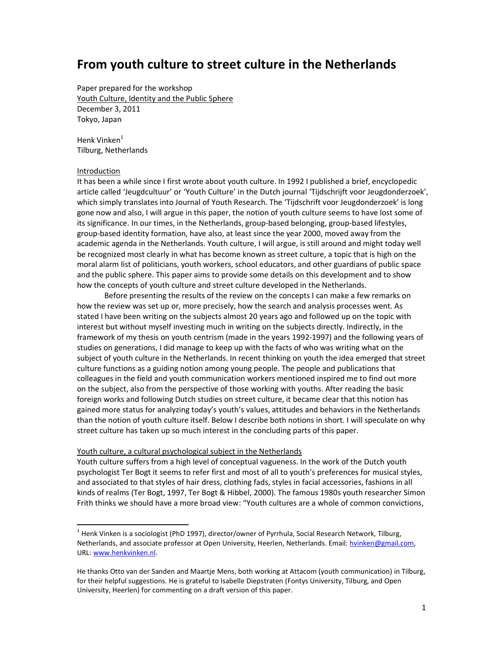# From youth culture to street culture in the Netherlands

Paper prepared for the workshop Youth Culture, Identity and the Public Sphere December 3, 2011 Tokyo, Japan

Henk Vinken<sup>1</sup> Tilburg, Netherlands

# Introduction

It has been a while since I first wrote about youth culture. In 1992 I published a brief, encyclopedic article called 'Jeugdcultuur' or 'Youth Culture' in the Dutch journal 'Tijdschrijft voor Jeugdonderzoek', which simply translates into Journal of Youth Research. The 'Tijdschrift voor Jeugdonderzoek' is long gone now and also, I will argue in this paper, the notion of youth culture seems to have lost some of its significance. In our times, in the Netherlands, group-based belonging, group-based lifestyles, group-based identity formation, have also, at least since the year 2000, moved away from the academic agenda in the Netherlands. Youth culture, I will argue, is still around and might today well be recognized most clearly in what has become known as street culture, a topic that is high on the moral alarm list of politicians, youth workers, school educators, and other guardians of public space and the public sphere. This paper aims to provide some details on this development and to show how the concepts of youth culture and street culture developed in the Netherlands.

Before presenting the results of the review on the concepts I can make a few remarks on how the review was set up or, more precisely, how the search and analysis processes went. As stated I have been writing on the subjects almost 20 years ago and followed up on the topic with interest but without myself investing much in writing on the subjects directly. Indirectly, in the framework of my thesis on youth centrism (made in the years 1992-1997) and the following years of studies on generations, I did manage to keep up with the facts of who was writing what on the subject of youth culture in the Netherlands. In recent thinking on youth the idea emerged that street culture functions as a guiding notion among young people. The people and publications that colleagues in the field and youth communication workers mentioned inspired me to find out more on the subject, also from the perspective of those working with youths. After reading the basic foreign works and following Dutch studies on street culture, it became clear that this notion has gained more status for analyzing today's youth's values, attitudes and behaviors in the Netherlands than the notion of youth culture itself. Below I describe both notions in short. I will speculate on why street culture has taken up so much interest in the concluding parts of this paper.

## Youth culture, a cultural psychological subject in the Netherlands

Youth culture suffers from a high level of conceptual vagueness. In the work of the Dutch youth psychologist Ter Bogt it seems to refer first and most of all to youth's preferences for musical styles, and associated to that styles of hair dress, clothing fads, styles in facial accessories, fashions in all kinds of realms (Ter Bogt, 1997, Ter Bogt & Hibbel, 2000). The famous 1980s youth researcher Simon Frith thinks we should have a more broad view: "Youth cultures are a whole of common convictions,

 $1$  Henk Vinken is a sociologist (PhD 1997), director/owner of Pyrrhula, Social Research Network, Tilburg, Netherlands, and associate professor at Open University, Heerlen, Netherlands. Email: hvinken@gmail.com, URL: www.henkvinken.nl.

He thanks Otto van der Sanden and Maartje Mens, both working at Attacom (youth communication) in Tilburg, for their helpful suggestions. He is grateful to Isabelle Diepstraten (Fontys University, Tilburg, and Open University, Heerlen) for commenting on a draft version of this paper.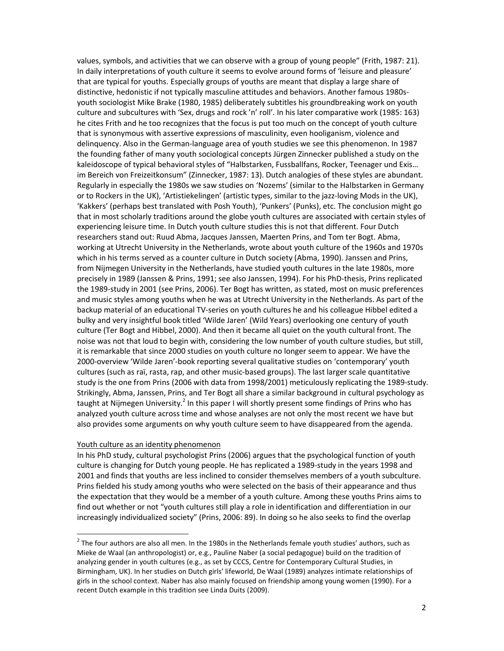values, symbols, and activities that we can observe with a group of young people" (Frith, 1987: 21). In daily interpretations of youth culture it seems to evolve around forms of 'leisure and pleasure' that are typical for youths. Especially groups of youths are meant that display a large share of distinctive, hedonistic if not typically masculine attitudes and behaviors. Another famous 1980syouth sociologist Mike Brake (1980, 1985) deliberately subtitles his groundbreaking work on youth culture and subcultures with 'Sex, drugs and rock 'n' roll'. In his later comparative work (1985: 163) he cites Frith and he too recognizes that the focus is put too much on the concept of youth culture that is synonymous with assertive expressions of masculinity, even hooliganism, violence and delinquency. Also in the German-language area of youth studies we see this phenomenon. In 1987 the founding father of many youth sociological concepts Jürgen Zinnecker published a study on the kaleidoscope of typical behavioral styles of "Halbstarken, Fussballfans, Rocker, Teenager und Exis... im Bereich von Freizeitkonsum" (Zinnecker, 1987: 13). Dutch analogies of these styles are abundant. Regularly in especially the 1980s we saw studies on 'Nozems' (similar to the Halbstarken in Germany or to Rockers in the UK), 'Artistiekelingen' (artistic types, similar to the jazz-loving Mods in the UK), 'Kakkers' (perhaps best translated with Posh Youth), 'Punkers' (Punks), etc. The conclusion might go that in most scholarly traditions around the globe youth cultures are associated with certain styles of experiencing leisure time. In Dutch youth culture studies this is not that different. Four Dutch researchers stand out: Ruud Abma, Jacques Janssen, Maerten Prins, and Tom ter Bogt. Abma, working at Utrecht University in the Netherlands, wrote about youth culture of the 1960s and 1970s which in his terms served as a counter culture in Dutch society (Abma, 1990). Janssen and Prins, from Nijmegen University in the Netherlands, have studied youth cultures in the late 1980s, more precisely in 1989 (Janssen & Prins, 1991; see also Janssen, 1994). For his PhD-thesis, Prins replicated the 1989-study in 2001 (see Prins, 2006). Ter Bogt has written, as stated, most on music preferences and music styles among youths when he was at Utrecht University in the Netherlands. As part of the backup material of an educational TV-series on youth cultures he and his colleague Hibbel edited a bulky and very insightful book titled 'Wilde Jaren' (Wild Years) overlooking one century of youth culture (Ter Bogt and Hibbel, 2000). And then it became all quiet on the youth cultural front. The noise was not that loud to begin with, considering the low number of youth culture studies, but still, it is remarkable that since 2000 studies on youth culture no longer seem to appear. We have the 2000-overview 'Wilde Jaren'-book reporting several qualitative studies on 'contemporary' youth cultures (such as raï, rasta, rap, and other music-based groups). The last larger scale quantitative study is the one from Prins (2006 with data from 1998/2001) meticulously replicating the 1989-study. Strikingly, Abma, Janssen, Prins, and Ter Bogt all share a similar background in cultural psychology as taught at Nijmegen University.<sup>2</sup> In this paper I will shortly present some findings of Prins who has analyzed youth culture across time and whose analyses are not only the most recent we have but also provides some arguments on why youth culture seem to have disappeared from the agenda.

# Youth culture as an identity phenomenon

In his PhD study, cultural psychologist Prins (2006) argues that the psychological function of youth culture is changing for Dutch young people. He has replicated a 1989-study in the years 1998 and 2001 and finds that youths are less inclined to consider themselves members of a youth subculture. Prins fielded his study among youths who were selected on the basis of their appearance and thus the expectation that they would be a member of a youth culture. Among these youths Prins aims to find out whether or not "youth cultures still play a role in identification and differentiation in our increasingly individualized society" (Prins, 2006: 89). In doing so he also seeks to find the overlap

 $2$  The four authors are also all men. In the 1980s in the Netherlands female youth studies' authors, such as Mieke de Waal (an anthropologist) or, e.g., Pauline Naber (a social pedagogue) build on the tradition of analyzing gender in youth cultures (e.g., as set by CCCS, Centre for Contemporary Cultural Studies, in Birmingham, UK). In her studies on Dutch girls' lifeworld, De Waal (1989) analyzes intimate relationships of girls in the school context. Naber has also mainly focused on friendship among young women (1990). For a recent Dutch example in this tradition see Linda Duits (2009).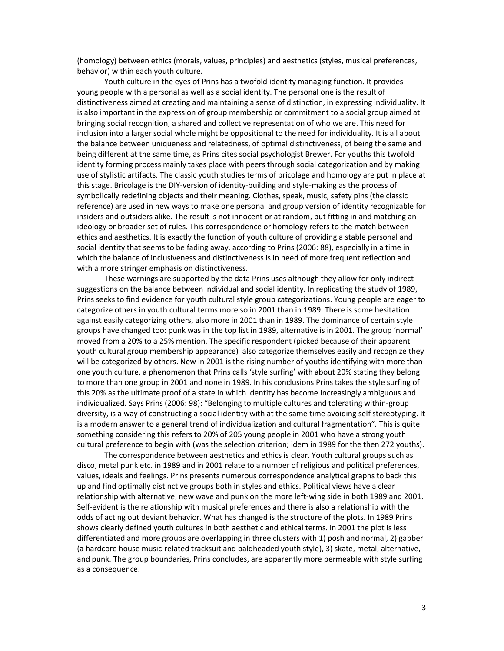(homology) between ethics (morals, values, principles) and aesthetics (styles, musical preferences, behavior) within each youth culture.

Youth culture in the eyes of Prins has a twofold identity managing function. It provides young people with a personal as well as a social identity. The personal one is the result of distinctiveness aimed at creating and maintaining a sense of distinction, in expressing individuality. It is also important in the expression of group membership or commitment to a social group aimed at bringing social recognition, a shared and collective representation of who we are. This need for inclusion into a larger social whole might be oppositional to the need for individuality. It is all about the balance between uniqueness and relatedness, of optimal distinctiveness, of being the same and being different at the same time, as Prins cites social psychologist Brewer. For youths this twofold identity forming process mainly takes place with peers through social categorization and by making use of stylistic artifacts. The classic youth studies terms of bricolage and homology are put in place at this stage. Bricolage is the DIY-version of identity-building and style-making as the process of symbolically redefining objects and their meaning. Clothes, speak, music, safety pins (the classic reference) are used in new ways to make one personal and group version of identity recognizable for insiders and outsiders alike. The result is not innocent or at random, but fitting in and matching an ideology or broader set of rules. This correspondence or homology refers to the match between ethics and aesthetics. It is exactly the function of youth culture of providing a stable personal and social identity that seems to be fading away, according to Prins (2006: 88), especially in a time in which the balance of inclusiveness and distinctiveness is in need of more frequent reflection and with a more stringer emphasis on distinctiveness.

These warnings are supported by the data Prins uses although they allow for only indirect suggestions on the balance between individual and social identity. In replicating the study of 1989, Prins seeks to find evidence for youth cultural style group categorizations. Young people are eager to categorize others in youth cultural terms more so in 2001 than in 1989. There is some hesitation against easily categorizing others, also more in 2001 than in 1989. The dominance of certain style groups have changed too: punk was in the top list in 1989, alternative is in 2001. The group 'normal' moved from a 20% to a 25% mention. The specific respondent (picked because of their apparent youth cultural group membership appearance) also categorize themselves easily and recognize they will be categorized by others. New in 2001 is the rising number of youths identifying with more than one youth culture, a phenomenon that Prins calls 'style surfing' with about 20% stating they belong to more than one group in 2001 and none in 1989. In his conclusions Prins takes the style surfing of this 20% as the ultimate proof of a state in which identity has become increasingly ambiguous and individualized. Says Prins (2006: 98): "Belonging to multiple cultures and tolerating within-group diversity, is a way of constructing a social identity with at the same time avoiding self stereotyping. It is a modern answer to a general trend of individualization and cultural fragmentation". This is quite something considering this refers to 20% of 205 young people in 2001 who have a strong youth cultural preference to begin with (was the selection criterion; idem in 1989 for the then 272 youths).

The correspondence between aesthetics and ethics is clear. Youth cultural groups such as disco, metal punk etc. in 1989 and in 2001 relate to a number of religious and political preferences, values, ideals and feelings. Prins presents numerous correspondence analytical graphs to back this up and find optimally distinctive groups both in styles and ethics. Political views have a clear relationship with alternative, new wave and punk on the more left-wing side in both 1989 and 2001. Self-evident is the relationship with musical preferences and there is also a relationship with the odds of acting out deviant behavior. What has changed is the structure of the plots. In 1989 Prins shows clearly defined youth cultures in both aesthetic and ethical terms. In 2001 the plot is less differentiated and more groups are overlapping in three clusters with 1) posh and normal, 2) gabber (a hardcore house music-related tracksuit and baldheaded youth style), 3) skate, metal, alternative, and punk. The group boundaries, Prins concludes, are apparently more permeable with style surfing as a consequence.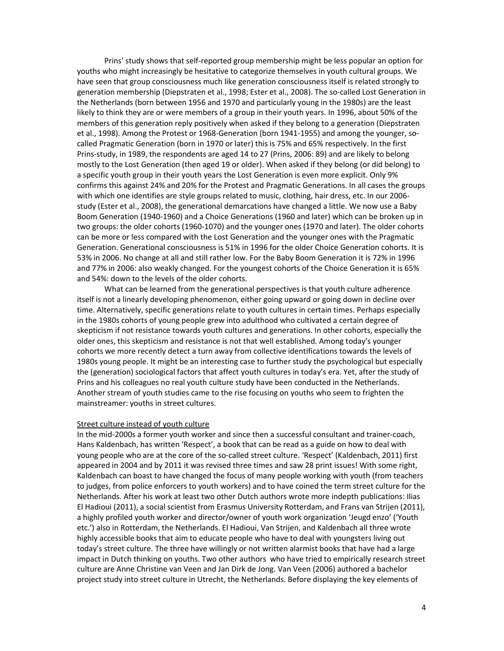Prins' study shows that self-reported group membership might be less popular an option for youths who might increasingly be hesitative to categorize themselves in youth cultural groups. We have seen that group consciousness much like generation consciousness itself is related strongly to generation membership (Diepstraten et al., 1998; Ester et al., 2008). The so-called Lost Generation in the Netherlands (born between 1956 and 1970 and particularly young in the 1980s) are the least likely to think they are or were members of a group in their youth years. In 1996, about 50% of the members of this generation reply positively when asked if they belong to a generation (Diepstraten et al., 1998). Among the Protest or 1968-Generation (born 1941-1955) and among the younger, socalled Pragmatic Generation (born in 1970 or later) this is 75% and 65% respectively. In the first Prins-study, in 1989, the respondents are aged 14 to 27 (Prins, 2006: 89) and are likely to belong mostly to the Lost Generation (then aged 19 or older). When asked if they belong (or did belong) to a specific youth group in their youth years the Lost Generation is even more explicit. Only 9% confirms this against 24% and 20% for the Protest and Pragmatic Generations. In all cases the groups with which one identifies are style groups related to music, clothing, hair dress, etc. In our 2006study (Ester et al., 2008), the generational demarcations have changed a little. We now use a Baby Boom Generation (1940-1960) and a Choice Generations (1960 and later) which can be broken up in two groups: the older cohorts (1960-1070) and the younger ones (1970 and later). The older cohorts can be more or less compared with the Lost Generation and the younger ones with the Pragmatic Generation. Generational consciousness is 51% in 1996 for the older Choice Generation cohorts. It is 53% in 2006. No change at all and still rather low. For the Baby Boom Generation it is 72% in 1996 and 77% in 2006: also weakly changed. For the youngest cohorts of the Choice Generation it is 65% and 54%: down to the levels of the older cohorts.

What can be learned from the generational perspectives is that youth culture adherence itself is not a linearly developing phenomenon, either going upward or going down in decline over time. Alternatively, specific generations relate to youth cultures in certain times. Perhaps especially in the 1980s cohorts of young people grew into adulthood who cultivated a certain degree of skepticism if not resistance towards youth cultures and generations. In other cohorts, especially the older ones, this skepticism and resistance is not that well established. Among today's younger cohorts we more recently detect a turn away from collective identifications towards the levels of 1980s young people. It might be an interesting case to further study the psychological but especially the (generation) sociological factors that affect youth cultures in today's era. Yet, after the study of Prins and his colleagues no real youth culture study have been conducted in the Netherlands. Another stream of youth studies came to the rise focusing on youths who seem to frighten the mainstreamer: youths in street cultures.

### Street culture instead of youth culture

In the mid-2000s a former youth worker and since then a successful consultant and trainer-coach, Hans Kaldenbach, has written 'Respect', a book that can be read as a guide on how to deal with young people who are at the core of the so-called street culture. 'Respect' (Kaldenbach, 2011) first appeared in 2004 and by 2011 it was revised three times and saw 28 print issues! With some right, Kaldenbach can boast to have changed the focus of many people working with youth (from teachers to judges, from police enforcers to youth workers) and to have coined the term street culture for the Netherlands. After his work at least two other Dutch authors wrote more indepth publications: Ilias El Hadioui (2011), a social scientist from Erasmus University Rotterdam, and Frans van Strijen (2011), a highly profiled youth worker and director/owner of youth work organization 'Jeugd enzo' ('Youth etc.') also in Rotterdam, the Netherlands. El Hadioui, Van Strijen, and Kaldenbach all three wrote highly accessible books that aim to educate people who have to deal with youngsters living out today's street culture. The three have willingly or not written alarmist books that have had a large impact in Dutch thinking on youths. Two other authors who have tried to empirically research street culture are Anne Christine van Veen and Jan Dirk de Jong. Van Veen (2006) authored a bachelor project study into street culture in Utrecht, the Netherlands. Before displaying the key elements of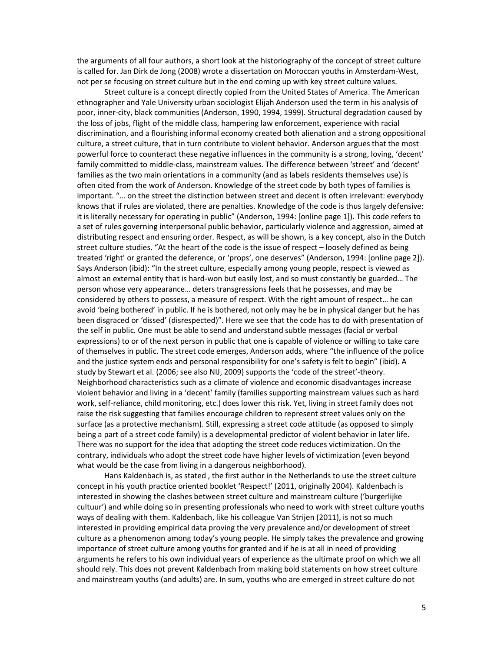the arguments of all four authors, a short look at the historiography of the concept of street culture is called for. Jan Dirk de Jong (2008) wrote a dissertation on Moroccan youths in Amsterdam-West, not per se focusing on street culture but in the end coming up with key street culture values.

Street culture is a concept directly copied from the United States of America. The American ethnographer and Yale University urban sociologist Elijah Anderson used the term in his analysis of poor, inner-city, black communities (Anderson, 1990, 1994, 1999). Structural degradation caused by the loss of jobs, flight of the middle class, hampering law enforcement, experience with racial discrimination, and a flourishing informal economy created both alienation and a strong oppositional culture, a street culture, that in turn contribute to violent behavior. Anderson argues that the most powerful force to counteract these negative influences in the community is a strong, loving, 'decent' family committed to middle-class, mainstream values. The difference between 'street' and 'decent' families as the two main orientations in a community (and as labels residents themselves use) is often cited from the work of Anderson. Knowledge of the street code by both types of families is important. "... on the street the distinction between street and decent is often irrelevant: everybody knows that if rules are violated, there are penalties. Knowledge of the code is thus largely defensive: it is literally necessary for operating in public" (Anderson, 1994: [online page 1]). This code refers to a set of rules governing interpersonal public behavior, particularly violence and aggression, aimed at distributing respect and ensuring order. Respect, as will be shown, is a key concept, also in the Dutch street culture studies. "At the heart of the code is the issue of respect - loosely defined as being treated 'right' or granted the deference, or 'props', one deserves" (Anderson, 1994: [online page 2]). Says Anderson (ibid): "In the street culture, especially among young people, respect is viewed as almost an external entity that is hard-won but easily lost, and so must constantly be guarded... The person whose very appearance... deters transgressions feels that he possesses, and may be considered by others to possess, a measure of respect. With the right amount of respect... he can avoid 'being bothered' in public. If he is bothered, not only may he be in physical danger but he has been disgraced or 'dissed' (disrespected)". Here we see that the code has to do with presentation of the self in public. One must be able to send and understand subtle messages (facial or verbal expressions) to or of the next person in public that one is capable of violence or willing to take care of themselves in public. The street code emerges, Anderson adds, where "the influence of the police and the justice system ends and personal responsibility for one's safety is felt to begin" (ibid). A study by Stewart et al. (2006; see also NIJ, 2009) supports the 'code of the street'-theory. Neighborhood characteristics such as a climate of violence and economic disadvantages increase violent behavior and living in a 'decent' family (families supporting mainstream values such as hard work, self-reliance, child monitoring, etc.) does lower this risk. Yet, living in street family does not raise the risk suggesting that families encourage children to represent street values only on the surface (as a protective mechanism). Still, expressing a street code attitude (as opposed to simply being a part of a street code family) is a developmental predictor of violent behavior in later life. There was no support for the idea that adopting the street code reduces victimization. On the contrary, individuals who adopt the street code have higher levels of victimization (even beyond what would be the case from living in a dangerous neighborhood).

Hans Kaldenbach is, as stated, the first author in the Netherlands to use the street culture concept in his youth practice oriented booklet 'Respect!' (2011, originally 2004). Kaldenbach is interested in showing the clashes between street culture and mainstream culture ('burgerlijke cultuur') and while doing so in presenting professionals who need to work with street culture youths ways of dealing with them. Kaldenbach, like his colleague Van Strijen (2011), is not so much interested in providing empirical data proving the very prevalence and/or development of street culture as a phenomenon among today's young people. He simply takes the prevalence and growing importance of street culture among youths for granted and if he is at all in need of providing arguments he refers to his own individual years of experience as the ultimate proof on which we all should rely. This does not prevent Kaldenbach from making bold statements on how street culture and mainstream youths (and adults) are. In sum, youths who are emerged in street culture do not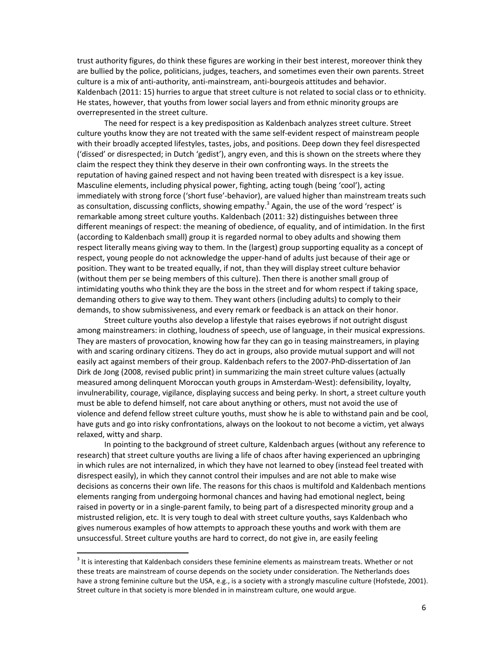trust authority figures, do think these figures are working in their best interest, moreover think they are bullied by the police, politicians, judges, teachers, and sometimes even their own parents. Street culture is a mix of anti-authority, anti-mainstream, anti-bourgeois attitudes and behavior. Kaldenbach (2011: 15) hurries to argue that street culture is not related to social class or to ethnicity. He states, however, that youths from lower social layers and from ethnic minority groups are overrepresented in the street culture.

The need for respect is a key predisposition as Kaldenbach analyzes street culture. Street culture youths know they are not treated with the same self-evident respect of mainstream people with their broadly accepted lifestyles, tastes, jobs, and positions. Deep down they feel disrespected ('dissed' or disrespected; in Dutch 'gedist'), angry even, and this is shown on the streets where they claim the respect they think they deserve in their own confronting ways. In the streets the reputation of having gained respect and not having been treated with disrespect is a key issue. Masculine elements, including physical power, fighting, acting tough (being 'cool'), acting immediately with strong force ('short fuse'-behavior), are valued higher than mainstream treats such as consultation, discussing conflicts, showing empathy.<sup>3</sup> Again, the use of the word 'respect' is remarkable among street culture youths. Kaldenbach (2011: 32) distinguishes between three different meanings of respect: the meaning of obedience, of equality, and of intimidation. In the first (according to Kaldenbach small) group it is regarded normal to obey adults and showing them respect literally means giving way to them. In the (largest) group supporting equality as a concept of respect, young people do not acknowledge the upper-hand of adults just because of their age or position. They want to be treated equally, if not, than they will display street culture behavior (without them per se being members of this culture). Then there is another small group of intimidating youths who think they are the boss in the street and for whom respect if taking space, demanding others to give way to them. They want others (including adults) to comply to their demands, to show submissiveness, and every remark or feedback is an attack on their honor.

Street culture youths also develop a lifestyle that raises eyebrows if not outright disgust among mainstreamers: in clothing, loudness of speech, use of language, in their musical expressions. They are masters of provocation, knowing how far they can go in teasing mainstreamers, in playing with and scaring ordinary citizens. They do act in groups, also provide mutual support and will not easily act against members of their group. Kaldenbach refers to the 2007-PhD-dissertation of Jan Dirk de Jong (2008, revised public print) in summarizing the main street culture values (actually measured among delinquent Moroccan youth groups in Amsterdam-West): defensibility, loyalty, invulnerability, courage, vigilance, displaying success and being perky. In short, a street culture youth must be able to defend himself, not care about anything or others, must not avoid the use of violence and defend fellow street culture youths, must show he is able to withstand pain and be cool, have guts and go into risky confrontations, always on the lookout to not become a victim, yet always relaxed, witty and sharp.

In pointing to the background of street culture, Kaldenbach argues (without any reference to research) that street culture youths are living a life of chaos after having experienced an upbringing in which rules are not internalized, in which they have not learned to obey (instead feel treated with disrespect easily), in which they cannot control their impulses and are not able to make wise decisions as concerns their own life. The reasons for this chaos is multifold and Kaldenbach mentions elements ranging from undergoing hormonal chances and having had emotional neglect, being raised in poverty or in a single-parent family, to being part of a disrespected minority group and a mistrusted religion, etc. It is very tough to deal with street culture youths, says Kaldenbach who gives numerous examples of how attempts to approach these youths and work with them are unsuccessful. Street culture youths are hard to correct, do not give in, are easily feeling

 $3$  It is interesting that Kaldenbach considers these feminine elements as mainstream treats. Whether or not these treats are mainstream of course depends on the society under consideration. The Netherlands does have a strong feminine culture but the USA, e.g., is a society with a strongly masculine culture (Hofstede, 2001). Street culture in that society is more blended in in mainstream culture, one would argue.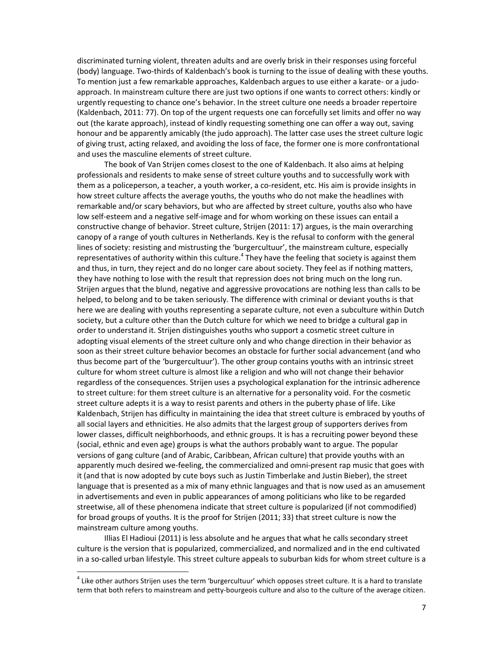discriminated turning violent, threaten adults and are overly brisk in their responses using forceful (body) language. Two-thirds of Kaldenbach's book is turning to the issue of dealing with these youths. To mention just a few remarkable approaches, Kaldenbach argues to use either a karate- or a judoapproach. In mainstream culture there are just two options if one wants to correct others: kindly or urgently requesting to chance one's behavior. In the street culture one needs a broader repertoire (Kaldenbach, 2011: 77). On top of the urgent requests one can forcefully set limits and offer no way out (the karate approach), instead of kindly requesting something one can offer a way out, saving honour and be apparently amicably (the judo approach). The latter case uses the street culture logic of giving trust, acting relaxed, and avoiding the loss of face, the former one is more confrontational and uses the masculine elements of street culture.

The book of Van Strijen comes closest to the one of Kaldenbach. It also aims at helping professionals and residents to make sense of street culture youths and to successfully work with them as a policeperson, a teacher, a youth worker, a co-resident, etc. His aim is provide insights in how street culture affects the average youths, the youths who do not make the headlines with remarkable and/or scary behaviors, but who are affected by street culture, youths also who have low self-esteem and a negative self-image and for whom working on these issues can entail a constructive change of behavior. Street culture, Strijen (2011: 17) argues, is the main overarching canopy of a range of youth cultures in Netherlands. Key is the refusal to conform with the general lines of society: resisting and mistrusting the 'burgercultuur', the mainstream culture, especially representatives of authority within this culture.<sup>4</sup> They have the feeling that society is against them and thus, in turn, they reject and do no longer care about society. They feel as if nothing matters, they have nothing to lose with the result that repression does not bring much on the long run. Strijen argues that the blund, negative and aggressive provocations are nothing less than calls to be helped, to belong and to be taken seriously. The difference with criminal or deviant youths is that here we are dealing with youths representing a separate culture, not even a subculture within Dutch society, but a culture other than the Dutch culture for which we need to bridge a cultural gap in order to understand it. Strijen distinguishes youths who support a cosmetic street culture in adopting visual elements of the street culture only and who change direction in their behavior as soon as their street culture behavior becomes an obstacle for further social advancement (and who thus become part of the 'burgercultuur'). The other group contains youths with an intrinsic street culture for whom street culture is almost like a religion and who will not change their behavior regardless of the consequences. Strijen uses a psychological explanation for the intrinsic adherence to street culture: for them street culture is an alternative for a personality void. For the cosmetic street culture adepts it is a way to resist parents and others in the puberty phase of life. Like Kaldenbach, Strijen has difficulty in maintaining the idea that street culture is embraced by youths of all social layers and ethnicities. He also admits that the largest group of supporters derives from lower classes, difficult neighborhoods, and ethnic groups. It is has a recruiting power beyond these (social, ethnic and even age) groups is what the authors probably want to argue. The popular versions of gang culture (and of Arabic, Caribbean, African culture) that provide youths with an apparently much desired we-feeling, the commercialized and omni-present rap music that goes with it (and that is now adopted by cute boys such as Justin Timberlake and Justin Bieber), the street language that is presented as a mix of many ethnic languages and that is now used as an amusement in advertisements and even in public appearances of among politicians who like to be regarded streetwise, all of these phenomena indicate that street culture is popularized (if not commodified) for broad groups of youths. It is the proof for Strijen (2011; 33) that street culture is now the mainstream culture among youths.

Illias El Hadioui (2011) is less absolute and he argues that what he calls secondary street culture is the version that is popularized, commercialized, and normalized and in the end cultivated in a so-called urban lifestyle. This street culture appeals to suburban kids for whom street culture is a

 $<sup>4</sup>$  Like other authors Strijen uses the term 'burgercultuur' which opposes street culture. It is a hard to translate</sup> term that both refers to mainstream and petty-bourgeois culture and also to the culture of the average citizen.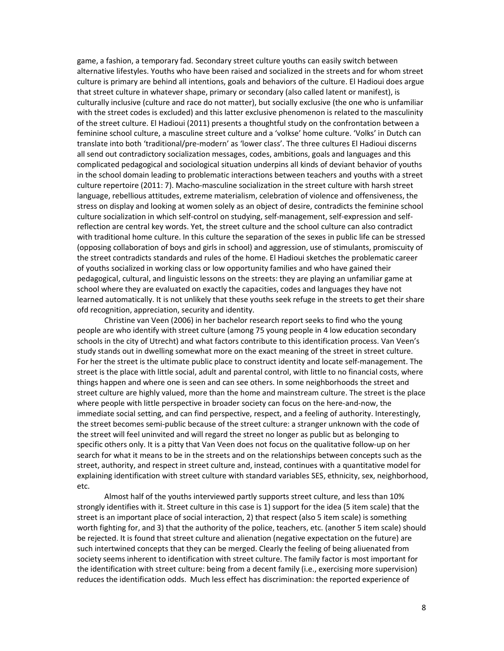game, a fashion, a temporary fad. Secondary street culture youths can easily switch between alternative lifestyles. Youths who have been raised and socialized in the streets and for whom street culture is primary are behind all intentions, goals and behaviors of the culture. El Hadioui does argue that street culture in whatever shape, primary or secondary (also called latent or manifest), is culturally inclusive (culture and race do not matter), but socially exclusive (the one who is unfamiliar with the street codes is excluded) and this latter exclusive phenomenon is related to the masculinity of the street culture. El Hadioui (2011) presents a thoughtful study on the confrontation between a feminine school culture, a masculine street culture and a 'volkse' home culture. 'Volks' in Dutch can translate into both 'traditional/pre-modern' as 'lower class'. The three cultures El Hadioui discerns all send out contradictory socialization messages, codes, ambitions, goals and languages and this complicated pedagogical and sociological situation underpins all kinds of deviant behavior of youths in the school domain leading to problematic interactions between teachers and youths with a street culture repertoire (2011: 7). Macho-masculine socialization in the street culture with harsh street language, rebellious attitudes, extreme materialism, celebration of violence and offensiveness, the stress on display and looking at women solely as an object of desire, contradicts the feminine school culture socialization in which self-control on studying, self-management, self-expression and selfreflection are central key words. Yet, the street culture and the school culture can also contradict with traditional home culture. In this culture the separation of the sexes in public life can be stressed (opposing collaboration of boys and girls in school) and aggression, use of stimulants, promiscuity of the street contradicts standards and rules of the home. El Hadioui sketches the problematic career of youths socialized in working class or low opportunity families and who have gained their pedagogical, cultural, and linguistic lessons on the streets: they are playing an unfamiliar game at school where they are evaluated on exactly the capacities, codes and languages they have not learned automatically. It is not unlikely that these youths seek refuge in the streets to get their share ofd recognition, appreciation, security and identity.

Christine van Veen (2006) in her bachelor research report seeks to find who the young people are who identify with street culture (among 75 young people in 4 low education secondary schools in the city of Utrecht) and what factors contribute to this identification process. Van Veen's study stands out in dwelling somewhat more on the exact meaning of the street in street culture. For her the street is the ultimate public place to construct identity and locate self-management. The street is the place with little social, adult and parental control, with little to no financial costs, where things happen and where one is seen and can see others. In some neighborhoods the street and street culture are highly valued, more than the home and mainstream culture. The street is the place where people with little perspective in broader society can focus on the here-and-now, the immediate social setting, and can find perspective, respect, and a feeling of authority. Interestingly, the street becomes semi-public because of the street culture: a stranger unknown with the code of the street will feel uninvited and will regard the street no longer as public but as belonging to specific others only. It is a pitty that Van Veen does not focus on the qualitative follow-up on her search for what it means to be in the streets and on the relationships between concepts such as the street, authority, and respect in street culture and, instead, continues with a quantitative model for explaining identification with street culture with standard variables SES, ethnicity, sex, neighborhood, etc.

Almost half of the youths interviewed partly supports street culture, and less than 10% strongly identifies with it. Street culture in this case is 1) support for the idea (5 item scale) that the street is an important place of social interaction, 2) that respect (also 5 item scale) is something worth fighting for, and 3) that the authority of the police, teachers, etc. (another 5 item scale) should be rejected. It is found that street culture and alienation (negative expectation on the future) are such intertwined concepts that they can be merged. Clearly the feeling of being aliuenated from society seems inherent to identification with street culture. The family factor is most important for the identification with street culture: being from a decent family (i.e., exercising more supervision) reduces the identification odds. Much less effect has discrimination: the reported experience of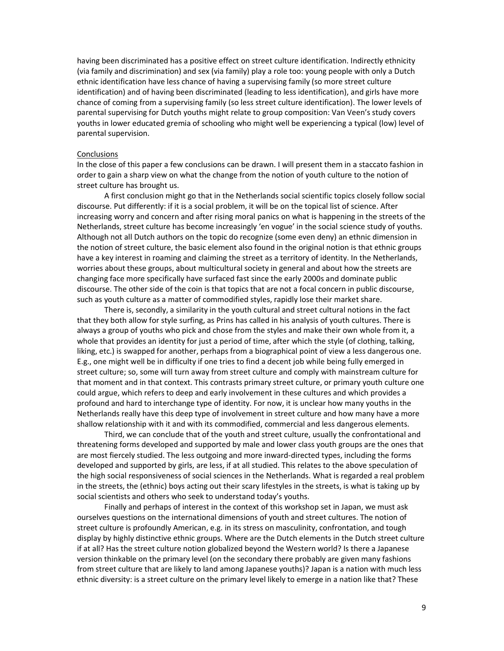having been discriminated has a positive effect on street culture identification. Indirectly ethnicity (via family and discrimination) and sex (via family) play a role too: young people with only a Dutch ethnic identification have less chance of having a supervising family (so more street culture identification) and of having been discriminated (leading to less identification), and girls have more chance of coming from a supervising family (so less street culture identification). The lower levels of parental supervising for Dutch youths might relate to group composition: Van Veen's study covers youths in lower educated gremia of schooling who might well be experiencing a typical (low) level of parental supervision.

### Conclusions

In the close of this paper a few conclusions can be drawn. I will present them in a staccato fashion in order to gain a sharp view on what the change from the notion of youth culture to the notion of street culture has brought us.

A first conclusion might go that in the Netherlands social scientific topics closely follow social discourse. Put differently: if it is a social problem, it will be on the topical list of science. After increasing worry and concern and after rising moral panics on what is happening in the streets of the Netherlands, street culture has become increasingly 'en vogue' in the social science study of youths. Although not all Dutch authors on the topic do recognize (some even deny) an ethnic dimension in the notion of street culture, the basic element also found in the original notion is that ethnic groups have a key interest in roaming and claiming the street as a territory of identity. In the Netherlands, worries about these groups, about multicultural society in general and about how the streets are changing face more specifically have surfaced fast since the early 2000s and dominate public discourse. The other side of the coin is that topics that are not a focal concern in public discourse, such as youth culture as a matter of commodified styles, rapidly lose their market share.

There is, secondly, a similarity in the youth cultural and street cultural notions in the fact that they both allow for style surfing, as Prins has called in his analysis of youth cultures. There is always a group of youths who pick and chose from the styles and make their own whole from it, a whole that provides an identity for just a period of time, after which the style (of clothing, talking, liking, etc.) is swapped for another, perhaps from a biographical point of view a less dangerous one. E.g., one might well be in difficulty if one tries to find a decent job while being fully emerged in street culture; so, some will turn away from street culture and comply with mainstream culture for that moment and in that context. This contrasts primary street culture, or primary youth culture one could argue, which refers to deep and early involvement in these cultures and which provides a profound and hard to interchange type of identity. For now, it is unclear how many youths in the Netherlands really have this deep type of involvement in street culture and how many have a more shallow relationship with it and with its commodified, commercial and less dangerous elements.

Third, we can conclude that of the youth and street culture, usually the confrontational and threatening forms developed and supported by male and lower class youth groups are the ones that are most fiercely studied. The less outgoing and more inward-directed types, including the forms developed and supported by girls, are less, if at all studied. This relates to the above speculation of the high social responsiveness of social sciences in the Netherlands. What is regarded a real problem in the streets, the (ethnic) boys acting out their scary lifestyles in the streets, is what is taking up by social scientists and others who seek to understand today's youths.

Finally and perhaps of interest in the context of this workshop set in Japan, we must ask ourselves questions on the international dimensions of youth and street cultures. The notion of street culture is profoundly American, e.g. in its stress on masculinity, confrontation, and tough display by highly distinctive ethnic groups. Where are the Dutch elements in the Dutch street culture if at all? Has the street culture notion globalized beyond the Western world? Is there a Japanese version thinkable on the primary level (on the secondary there probably are given many fashions from street culture that are likely to land among Japanese youths)? Japan is a nation with much less ethnic diversity: is a street culture on the primary level likely to emerge in a nation like that? These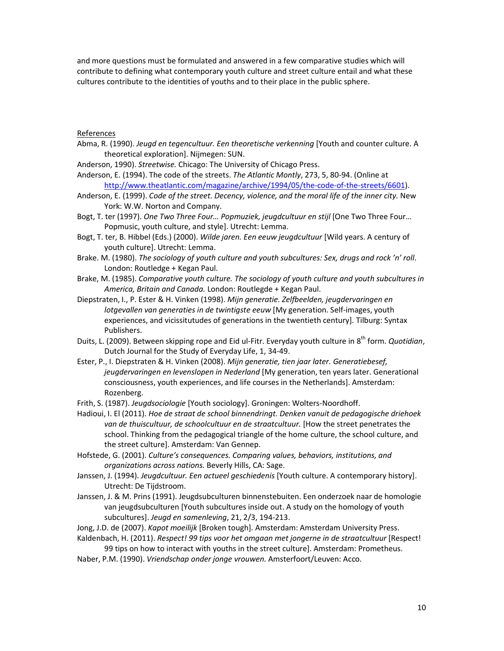and more questions must be formulated and answered in a few comparative studies which will contribute to defining what contemporary youth culture and street culture entail and what these cultures contribute to the identities of youths and to their place in the public sphere.

## References

Abma, R. (1990). Jeugd en tegencultuur. Een theoretische verkenning [Youth and counter culture. A theoretical exploration]. Nijmegen: SUN.

Anderson, 1990). Streetwise. Chicago: The University of Chicago Press.

- Anderson, E. (1994). The code of the streets. The Atlantic Montly, 273, 5, 80-94. (Online at http://www.theatlantic.com/magazine/archive/1994/05/the-code-of-the-streets/6601).
- Anderson, E. (1999). Code of the street. Decency, violence, and the moral life of the inner city. New York: W.W. Norton and Company.
- Bogt, T. ter (1997). One Two Three Four... Popmuziek, jeugdcultuur en stijl [One Two Three Four... Popmusic, youth culture, and style]. Utrecht: Lemma.
- Bogt, T. ter, B. Hibbel (Eds.) (2000). Wilde jaren. Een eeuw jeugdcultuur [Wild years. A century of youth culture]. Utrecht: Lemma.
- Brake. M. (1980). The sociology of youth culture and youth subcultures: Sex, drugs and rock 'n' roll. London: Routledge + Kegan Paul.
- Brake, M. (1985). Comparative youth culture. The sociology of youth culture and youth subcultures in America, Britain and Canada. London: Routlegde + Kegan Paul.
- Diepstraten, I., P. Ester & H. Vinken (1998). Mijn generatie. Zelfbeelden, jeugdervaringen en lotgevallen van generaties in de twintigste eeuw [My generation. Self-images, youth experiences, and vicissitutudes of generations in the twentieth century]. Tilburg: Syntax Publishers.
- Duits, L. (2009). Between skipping rope and Eid ul-Fitr. Everyday youth culture in 8<sup>th</sup> form. Quotidian, Dutch Journal for the Study of Everyday Life, 1, 34-49.
- Ester, P., I. Diepstraten & H. Vinken (2008). Mijn generatie, tien jaar later. Generatiebesef, jeugdervaringen en levenslopen in Nederland [My generation, ten years later. Generational consciousness, youth experiences, and life courses in the Netherlands]. Amsterdam: Rozenberg.
- Frith, S. (1987). Jeugdsociologie [Youth sociology]. Groningen: Wolters-Noordhoff.
- Hadioui, I. El (2011). Hoe de straat de school binnendringt. Denken vanuit de pedagogische driehoek van de thuiscultuur, de schoolcultuur en de straatcultuur. [How the street penetrates the school. Thinking from the pedagogical triangle of the home culture, the school culture, and the street culture]. Amsterdam: Van Gennep.
- Hofstede, G. (2001). Culture's consequences. Comparing values, behaviors, institutions, and organizations across nations. Beverly Hills, CA: Sage.
- Janssen, J. (1994). Jeugdcultuur. Een actueel geschiedenis [Youth culture. A contemporary history]. Utrecht: De Tijdstroom.
- Janssen, J. & M. Prins (1991). Jeugdsubculturen binnenstebuiten. Een onderzoek naar de homologie van jeugdsubculturen [Youth subcultures inside out. A study on the homology of youth subcultures]. Jeugd en samenleving, 21, 2/3, 194-213.

Jong, J.D. de (2007). Kapot moeilijk [Broken tough]. Amsterdam: Amsterdam University Press.

Kaldenbach, H. (2011). Respect! 99 tips voor het omgaan met jongerne in de straatcultuur [Respect! 99 tips on how to interact with youths in the street culture]. Amsterdam: Prometheus.

Naber, P.M. (1990). Vriendschap onder jonge vrouwen. Amsterfoort/Leuven: Acco.